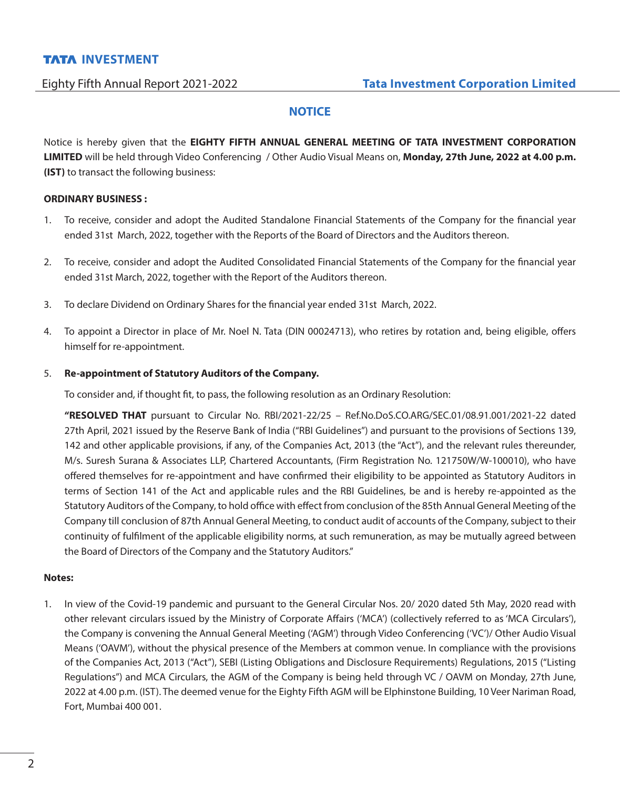# **NOTICE**

Notice is hereby given that the **EIGHTY FIFTH ANNUAL GENERAL MEETING OF TATA INVESTMENT CORPORATION LIMITED** will be held through Video Conferencing / Other Audio Visual Means on, **Monday, 27th June, 2022 at 4.00 p.m. (IST)** to transact the following business:

## **ORDINARY BUSINESS :**

- 1. To receive, consider and adopt the Audited Standalone Financial Statements of the Company for the financial year ended 31st March, 2022, together with the Reports of the Board of Directors and the Auditors thereon.
- 2. To receive, consider and adopt the Audited Consolidated Financial Statements of the Company for the financial year ended 31st March, 2022, together with the Report of the Auditors thereon.
- 3. To declare Dividend on Ordinary Shares for the financial year ended 31st March, 2022.
- 4. To appoint a Director in place of Mr. Noel N. Tata (DIN 00024713), who retires by rotation and, being eligible, offers himself for re-appointment.

## 5. **Re-appointment of Statutory Auditors of the Company.**

To consider and, if thought fit, to pass, the following resolution as an Ordinary Resolution:

 **"RESOLVED THAT** pursuant to Circular No. RBI/2021-22/25 – Ref.No.DoS.CO.ARG/SEC.01/08.91.001/2021-22 dated 27th April, 2021 issued by the Reserve Bank of India ("RBI Guidelines") and pursuant to the provisions of Sections 139, 142 and other applicable provisions, if any, of the Companies Act, 2013 (the "Act"), and the relevant rules thereunder, M/s. Suresh Surana & Associates LLP, Chartered Accountants, (Firm Registration No. 121750W/W-100010), who have offered themselves for re-appointment and have confirmed their eligibility to be appointed as Statutory Auditors in terms of Section 141 of the Act and applicable rules and the RBI Guidelines, be and is hereby re-appointed as the Statutory Auditors of the Company, to hold office with effect from conclusion of the 85th Annual General Meeting of the Company till conclusion of 87th Annual General Meeting, to conduct audit of accounts of the Company, subject to their continuity of fulfilment of the applicable eligibility norms, at such remuneration, as may be mutually agreed between the Board of Directors of the Company and the Statutory Auditors."

## **Notes:**

1. In view of the Covid-19 pandemic and pursuant to the General Circular Nos. 20/ 2020 dated 5th May, 2020 read with other relevant circulars issued by the Ministry of Corporate Affairs ('MCA') (collectively referred to as 'MCA Circulars'), the Company is convening the Annual General Meeting ('AGM') through Video Conferencing ('VC')/ Other Audio Visual Means ('OAVM'), without the physical presence of the Members at common venue. In compliance with the provisions of the Companies Act, 2013 ("Act"), SEBI (Listing Obligations and Disclosure Requirements) Regulations, 2015 ("Listing Regulations") and MCA Circulars, the AGM of the Company is being held through VC / OAVM on Monday, 27th June, 2022 at 4.00 p.m. (IST). The deemed venue for the Eighty Fifth AGM will be Elphinstone Building, 10 Veer Nariman Road, Fort, Mumbai 400 001.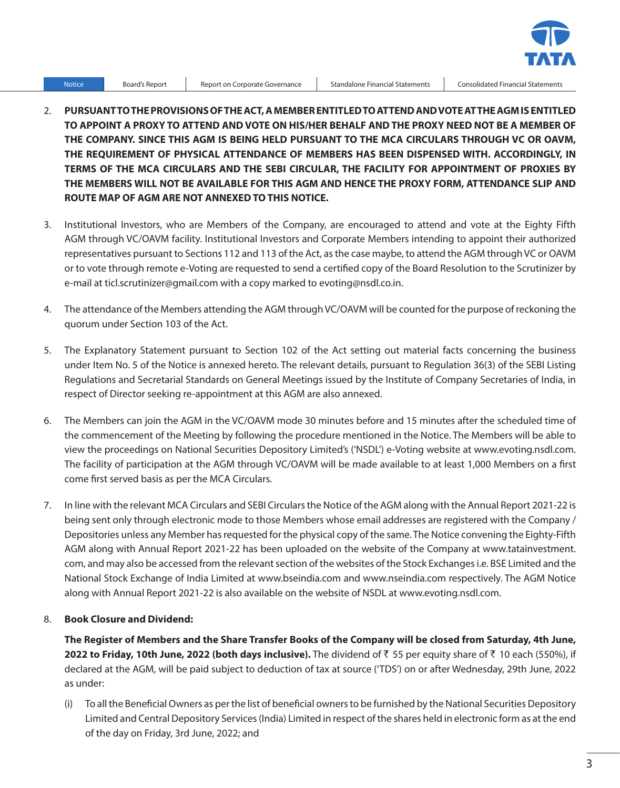

Notice Board's Report Report on Corporate Governance Standalone Financial Statements Consolidated Financial Statements

- 2. **PURSUANT TO THE PROVISIONS OF THE ACT, A MEMBER ENTITLED TO ATTEND AND VOTE AT THE AGM IS ENTITLED TO APPOINT A PROXY TO ATTEND AND VOTE ON HIS/HER BEHALF AND THE PROXY NEED NOT BE A MEMBER OF THE COMPANY. SINCE THIS AGM IS BEING HELD PURSUANT TO THE MCA CIRCULARS THROUGH VC OR OAVM, THE REQUIREMENT OF PHYSICAL ATTENDANCE OF MEMBERS HAS BEEN DISPENSED WITH. ACCORDINGLY, IN TERMS OF THE MCA CIRCULARS AND THE SEBI CIRCULAR, THE FACILITY FOR APPOINTMENT OF PROXIES BY THE MEMBERS WILL NOT BE AVAILABLE FOR THIS AGM AND HENCE THE PROXY FORM, ATTENDANCE SLIP AND ROUTE MAP OF AGM ARE NOT ANNEXED TO THIS NOTICE.**
- 3. Institutional Investors, who are Members of the Company, are encouraged to attend and vote at the Eighty Fifth AGM through VC/OAVM facility. Institutional Investors and Corporate Members intending to appoint their authorized representatives pursuant to Sections 112 and 113 of the Act, as the case maybe, to attend the AGM through VC or OAVM or to vote through remote e-Voting are requested to send a certified copy of the Board Resolution to the Scrutinizer by e-mail at ticl.scrutinizer@gmail.com with a copy marked to evoting@nsdl.co.in.
- 4. The attendance of the Members attending the AGM through VC/OAVM will be counted for the purpose of reckoning the quorum under Section 103 of the Act.
- 5. The Explanatory Statement pursuant to Section 102 of the Act setting out material facts concerning the business under Item No. 5 of the Notice is annexed hereto. The relevant details, pursuant to Regulation 36(3) of the SEBI Listing Regulations and Secretarial Standards on General Meetings issued by the Institute of Company Secretaries of India, in respect of Director seeking re-appointment at this AGM are also annexed.
- 6. The Members can join the AGM in the VC/OAVM mode 30 minutes before and 15 minutes after the scheduled time of the commencement of the Meeting by following the procedure mentioned in the Notice. The Members will be able to view the proceedings on National Securities Depository Limited's ('NSDL') e-Voting website at www.evoting.nsdl.com. The facility of participation at the AGM through VC/OAVM will be made available to at least 1,000 Members on a first come first served basis as per the MCA Circulars.
- 7. In line with the relevant MCA Circulars and SEBI Circulars the Notice of the AGM along with the Annual Report 2021-22 is being sent only through electronic mode to those Members whose email addresses are registered with the Company / Depositories unless any Member has requested for the physical copy of the same. The Notice convening the Eighty-Fifth AGM along with Annual Report 2021-22 has been uploaded on the website of the Company at www.tatainvestment. com, and may also be accessed from the relevant section of the websites of the Stock Exchanges i.e. BSE Limited and the National Stock Exchange of India Limited at www.bseindia.com and www.nseindia.com respectively. The AGM Notice along with Annual Report 2021-22 is also available on the website of NSDL at www.evoting.nsdl.com.

## 8. **Book Closure and Dividend:**

**The Register of Members and the Share Transfer Books of the Company will be closed from Saturday, 4th June, 2022 to Friday, 10th June, 2022 (both days inclusive).** The dividend of ₹ 55 per equity share of ₹ 10 each (550%), if declared at the AGM, will be paid subject to deduction of tax at source ('TDS') on or after Wednesday, 29th June, 2022 as under:

(i) To all the Beneficial Owners as per the list of beneficial owners to be furnished by the National Securities Depository Limited and Central Depository Services (India) Limited in respect of the shares held in electronic form as at the end of the day on Friday, 3rd June, 2022; and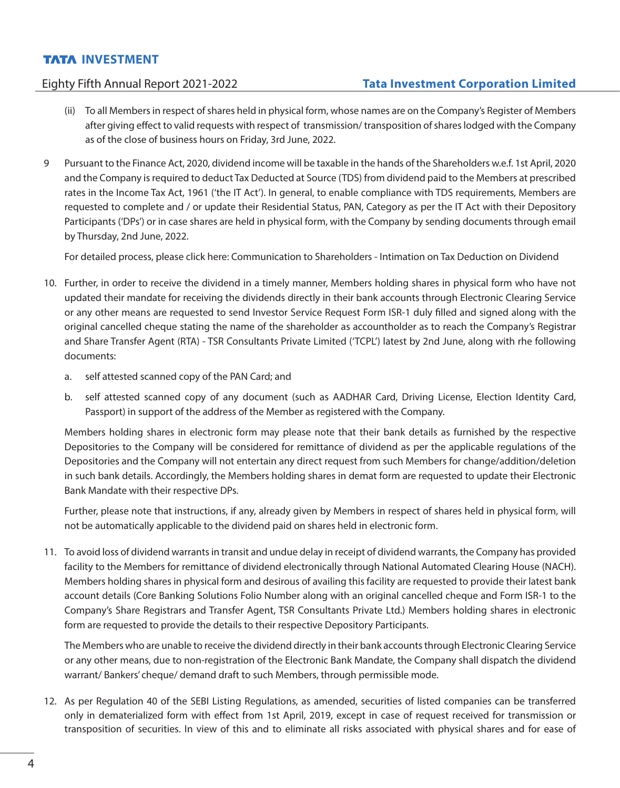- (ii) To all Members in respect of shares held in physical form, whose names are on the Company's Register of Members after giving effect to valid requests with respect of transmission/ transposition of shares lodged with the Company as of the close of business hours on Friday, 3rd June, 2022.
- 9 Pursuant to the Finance Act, 2020, dividend income will be taxable in the hands of the Shareholders w.e.f. 1st April, 2020 and the Company is required to deduct Tax Deducted at Source (TDS) from dividend paid to the Members at prescribed rates in the Income Tax Act, 1961 ('the IT Act'). In general, to enable compliance with TDS requirements, Members are requested to complete and / or update their Residential Status, PAN, Category as per the IT Act with their Depository Participants ('DPs') or in case shares are held in physical form, with the Company by sending documents through email by Thursday, 2nd June, 2022.

For detailed process, please click here: [Communication to Shareholders - Intimation on Tax Deduction on Dividend](https://tatainvestment.com/wp-content/uploads/2022/05/TICL_Communication_of_TDS.pdf)

- 10. Further, in order to receive the dividend in a timely manner, Members holding shares in physical form who have not updated their mandate for receiving the dividends directly in their bank accounts through Electronic Clearing Service or any other means are requested to send Investor Service Request Form ISR-1 duly filled and signed along with the original cancelled cheque stating the name of the shareholder as accountholder as to reach the Company's Registrar and Share Transfer Agent (RTA) - TSR Consultants Private Limited ('TCPL') latest by 2nd June, along with rhe following documents:
	- a. self attested scanned copy of the PAN Card; and
	- b. self attested scanned copy of any document (such as AADHAR Card, Driving License, Election Identity Card, Passport) in support of the address of the Member as registered with the Company.

 Members holding shares in electronic form may please note that their bank details as furnished by the respective Depositories to the Company will be considered for remittance of dividend as per the applicable regulations of the Depositories and the Company will not entertain any direct request from such Members for change/addition/deletion in such bank details. Accordingly, the Members holding shares in demat form are requested to update their Electronic Bank Mandate with their respective DPs.

 Further, please note that instructions, if any, already given by Members in respect of shares held in physical form, will not be automatically applicable to the dividend paid on shares held in electronic form.

11. To avoid loss of dividend warrants in transit and undue delay in receipt of dividend warrants, the Company has provided facility to the Members for remittance of dividend electronically through National Automated Clearing House (NACH). Members holding shares in physical form and desirous of availing this facility are requested to provide their latest bank account details (Core Banking Solutions Folio Number along with an original cancelled cheque and Form ISR-1 to the Company's Share Registrars and Transfer Agent, TSR Consultants Private Ltd.) Members holding shares in electronic form are requested to provide the details to their respective Depository Participants.

 The Members who are unable to receive the dividend directly in their bank accounts through Electronic Clearing Service or any other means, due to non-registration of the Electronic Bank Mandate, the Company shall dispatch the dividend warrant/ Bankers' cheque/ demand draft to such Members, through permissible mode.

12. As per Regulation 40 of the SEBI Listing Regulations, as amended, securities of listed companies can be transferred only in dematerialized form with effect from 1st April, 2019, except in case of request received for transmission or transposition of securities. In view of this and to eliminate all risks associated with physical shares and for ease of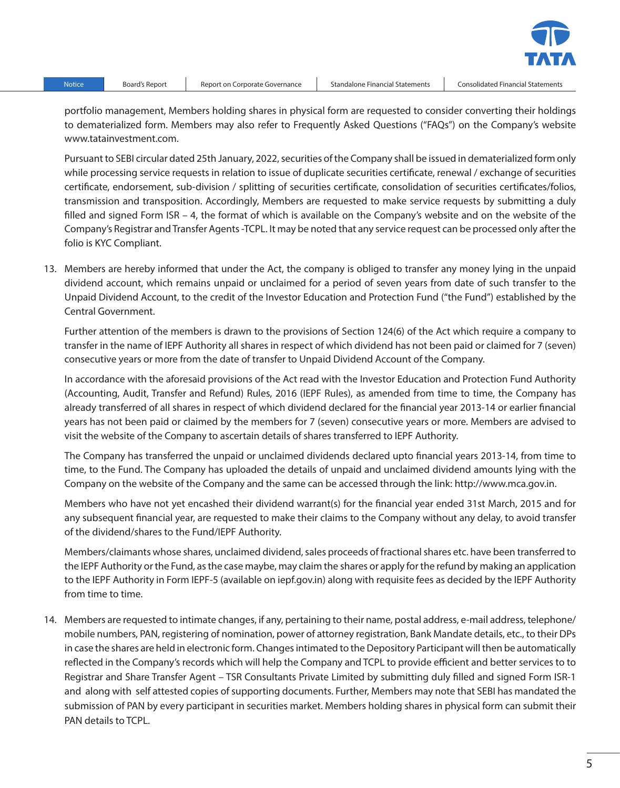

Notice Board's Report Report on Corporate Governance Standalone Financial Statements Consolidated Financial Statements

portfolio management, Members holding shares in physical form are requested to consider converting their holdings to dematerialized form. Members may also refer to Frequently Asked Questions ("FAQs") on the Company's website www.tatainvestment.com.

 Pursuant to SEBI circular dated 25th January, 2022, securities of the Company shall be issued in dematerialized form only while processing service requests in relation to issue of duplicate securities certificate, renewal / exchange of securities certificate, endorsement, sub-division / splitting of securities certificate, consolidation of securities certificates/folios, transmission and transposition. Accordingly, Members are requested to make service requests by submitting a duly filled and signed Form ISR – 4, the format of which is available on the Company's website and on the website of the Company's Registrar and Transfer Agents -TCPL. It may be noted that any service request can be processed only after the folio is KYC Compliant.

13. Members are hereby informed that under the Act, the company is obliged to transfer any money lying in the unpaid dividend account, which remains unpaid or unclaimed for a period of seven years from date of such transfer to the Unpaid Dividend Account, to the credit of the Investor Education and Protection Fund ("the Fund") established by the Central Government.

 Further attention of the members is drawn to the provisions of Section 124(6) of the Act which require a company to transfer in the name of IEPF Authority all shares in respect of which dividend has not been paid or claimed for 7 (seven) consecutive years or more from the date of transfer to Unpaid Dividend Account of the Company.

 In accordance with the aforesaid provisions of the Act read with the Investor Education and Protection Fund Authority (Accounting, Audit, Transfer and Refund) Rules, 2016 (IEPF Rules), as amended from time to time, the Company has already transferred of all shares in respect of which dividend declared for the financial year 2013-14 or earlier financial years has not been paid or claimed by the members for 7 (seven) consecutive years or more. Members are advised to visit the website of the Company to ascertain details of shares transferred to IEPF Authority.

 The Company has transferred the unpaid or unclaimed dividends declared upto financial years 2013-14, from time to time, to the Fund. The Company has uploaded the details of unpaid and unclaimed dividend amounts lying with the Company on the website of the Company and the same can be accessed through the link: http://www.mca.gov.in.

 Members who have not yet encashed their dividend warrant(s) for the financial year ended 31st March, 2015 and for any subsequent financial year, are requested to make their claims to the Company without any delay, to avoid transfer of the dividend/shares to the Fund/IEPF Authority.

 Members/claimants whose shares, unclaimed dividend, sales proceeds of fractional shares etc. have been transferred to the IEPF Authority or the Fund, as the case maybe, may claim the shares or apply for the refund by making an application to the IEPF Authority in Form IEPF-5 (available on iepf.gov.in) along with requisite fees as decided by the IEPF Authority from time to time.

14. Members are requested to intimate changes, if any, pertaining to their name, postal address, e-mail address, telephone/ mobile numbers, PAN, registering of nomination, power of attorney registration, Bank Mandate details, etc., to their DPs in case the shares are held in electronic form. Changes intimated to the Depository Participant will then be automatically reflected in the Company's records which will help the Company and TCPL to provide efficient and better services to to Registrar and Share Transfer Agent – TSR Consultants Private Limited by submitting duly filled and signed Form ISR-1 and along with self attested copies of supporting documents. Further, Members may note that SEBI has mandated the submission of PAN by every participant in securities market. Members holding shares in physical form can submit their PAN details to TCPL.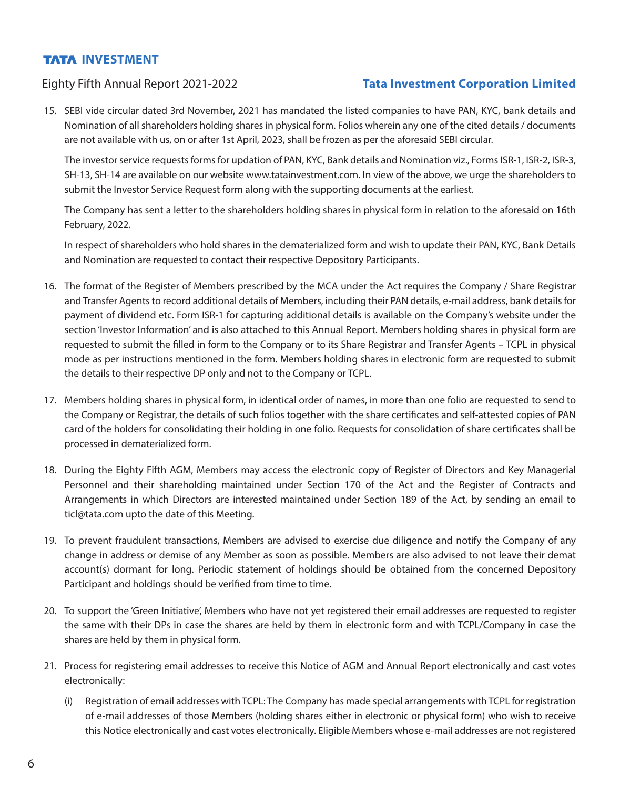# Eighty Fifth Annual Report 2021-2022 **Tata Investment Corporation Limited**

15. SEBI vide circular dated 3rd November, 2021 has mandated the listed companies to have PAN, KYC, bank details and Nomination of all shareholders holding shares in physical form. Folios wherein any one of the cited details / documents are not available with us, on or after 1st April, 2023, shall be frozen as per the aforesaid SEBI circular.

 The investor service requests forms for updation of PAN, KYC, Bank details and Nomination viz., Forms ISR-1, ISR-2, ISR-3, SH-13, SH-14 are available on our website www.tatainvestment.com. In view of the above, we urge the shareholders to submit the Investor Service Request form along with the supporting documents at the earliest.

 The Company has sent a letter to the shareholders holding shares in physical form in relation to the aforesaid on 16th February, 2022.

 In respect of shareholders who hold shares in the dematerialized form and wish to update their PAN, KYC, Bank Details and Nomination are requested to contact their respective Depository Participants.

- 16. The format of the Register of Members prescribed by the MCA under the Act requires the Company / Share Registrar and Transfer Agents to record additional details of Members, including their PAN details, e-mail address, bank details for payment of dividend etc. Form ISR-1 for capturing additional details is available on the Company's website under the section 'Investor Information' and is also attached to this Annual Report. Members holding shares in physical form are requested to submit the filled in form to the Company or to its Share Registrar and Transfer Agents – TCPL in physical mode as per instructions mentioned in the form. Members holding shares in electronic form are requested to submit the details to their respective DP only and not to the Company or TCPL.
- 17. Members holding shares in physical form, in identical order of names, in more than one folio are requested to send to the Company or Registrar, the details of such folios together with the share certificates and self-attested copies of PAN card of the holders for consolidating their holding in one folio. Requests for consolidation of share certificates shall be processed in dematerialized form.
- 18. During the Eighty Fifth AGM, Members may access the electronic copy of Register of Directors and Key Managerial Personnel and their shareholding maintained under Section 170 of the Act and the Register of Contracts and Arrangements in which Directors are interested maintained under Section 189 of the Act, by sending an email to ticl@tata.com upto the date of this Meeting.
- 19. To prevent fraudulent transactions, Members are advised to exercise due diligence and notify the Company of any change in address or demise of any Member as soon as possible. Members are also advised to not leave their demat account(s) dormant for long. Periodic statement of holdings should be obtained from the concerned Depository Participant and holdings should be verified from time to time.
- 20. To support the 'Green Initiative', Members who have not yet registered their email addresses are requested to register the same with their DPs in case the shares are held by them in electronic form and with TCPL/Company in case the shares are held by them in physical form.
- 21. Process for registering email addresses to receive this Notice of AGM and Annual Report electronically and cast votes electronically:
	- (i) Registration of email addresses with TCPL: The Company has made special arrangements with TCPL for registration of e-mail addresses of those Members (holding shares either in electronic or physical form) who wish to receive this Notice electronically and cast votes electronically. Eligible Members whose e-mail addresses are not registered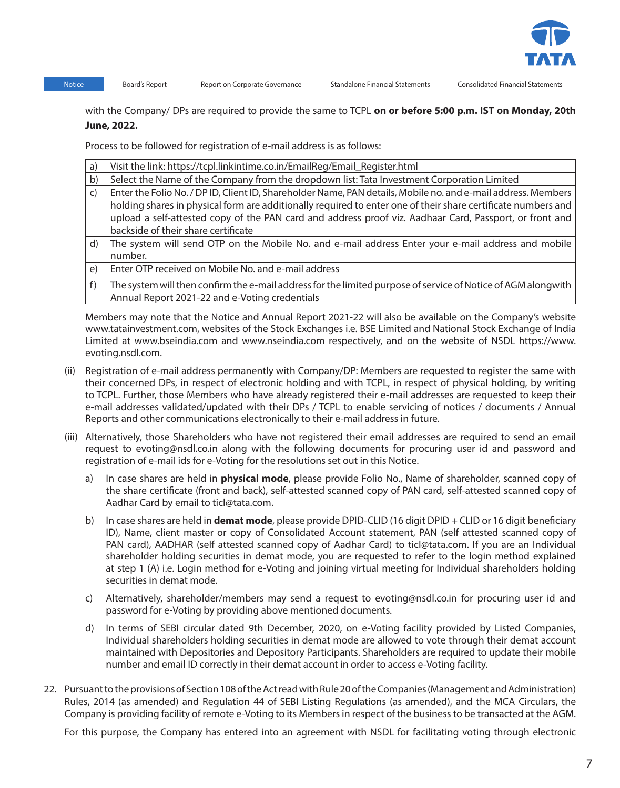

Notice Board's Report Report on Corporate Governance Standalone Financial Statements Consolidated Financial Statements

with the Company/ DPs are required to provide the same to TCPL **on or before 5:00 p.m. IST on Monday, 20th June, 2022.**

Process to be followed for registration of e-mail address is as follows:

| a)           | Visit the link: https://tcpl.linkintime.co.in/EmailReg/Email_Register.html                                    |
|--------------|---------------------------------------------------------------------------------------------------------------|
| b)           | Select the Name of the Company from the dropdown list: Tata Investment Corporation Limited                    |
| $\mathsf{C}$ | Enter the Folio No. / DP ID, Client ID, Shareholder Name, PAN details, Mobile no. and e-mail address. Members |
|              | holding shares in physical form are additionally required to enter one of their share certificate numbers and |
|              | upload a self-attested copy of the PAN card and address proof viz. Aadhaar Card, Passport, or front and       |
|              | backside of their share certificate                                                                           |
| d)           | The system will send OTP on the Mobile No. and e-mail address Enter your e-mail address and mobile            |
|              | number.                                                                                                       |
| $\epsilon$   | Enter OTP received on Mobile No. and e-mail address                                                           |
| f)           | The system will then confirm the e-mail address for the limited purpose of service of Notice of AGM alongwith |
|              | Annual Report 2021-22 and e-Voting credentials                                                                |

 Members may note that the Notice and Annual Report 2021-22 will also be available on the Company's website www.tatainvestment.com, websites of the Stock Exchanges i.e. BSE Limited and National Stock Exchange of India Limited at www.bseindia.com and www.nseindia.com respectively, and on the website of NSDL https://www. evoting.nsdl.com.

- (ii) Registration of e-mail address permanently with Company/DP: Members are requested to register the same with their concerned DPs, in respect of electronic holding and with TCPL, in respect of physical holding, by writing to TCPL. Further, those Members who have already registered their e-mail addresses are requested to keep their e-mail addresses validated/updated with their DPs / TCPL to enable servicing of notices / documents / Annual Reports and other communications electronically to their e-mail address in future.
- (iii) Alternatively, those Shareholders who have not registered their email addresses are required to send an email request to evoting@nsdl.co.in along with the following documents for procuring user id and password and registration of e-mail ids for e-Voting for the resolutions set out in this Notice.
	- a) In case shares are held in **physical mode**, please provide Folio No., Name of shareholder, scanned copy of the share certificate (front and back), self-attested scanned copy of PAN card, self-attested scanned copy of Aadhar Card by email to ticl@tata.com.
	- b) In case shares are held in **demat mode**, please provide DPID-CLID (16 digit DPID + CLID or 16 digit beneficiary ID), Name, client master or copy of Consolidated Account statement, PAN (self attested scanned copy of PAN card), AADHAR (self attested scanned copy of Aadhar Card) to ticl@tata.com. If you are an Individual shareholder holding securities in demat mode, you are requested to refer to the login method explained at step 1 (A) i.e. Login method for e-Voting and joining virtual meeting for Individual shareholders holding securities in demat mode.
	- c) Alternatively, shareholder/members may send a request to evoting@nsdl.co.in for procuring user id and password for e-Voting by providing above mentioned documents.
	- d) In terms of SEBI circular dated 9th December, 2020, on e-Voting facility provided by Listed Companies, Individual shareholders holding securities in demat mode are allowed to vote through their demat account maintained with Depositories and Depository Participants. Shareholders are required to update their mobile number and email ID correctly in their demat account in order to access e-Voting facility.
- 22. Pursuant to the provisions of Section 108 of the Act read with Rule 20 of the Companies (Management and Administration) Rules, 2014 (as amended) and Regulation 44 of SEBI Listing Regulations (as amended), and the MCA Circulars, the Company is providing facility of remote e-Voting to its Members in respect of the business to be transacted at the AGM.

For this purpose, the Company has entered into an agreement with NSDL for facilitating voting through electronic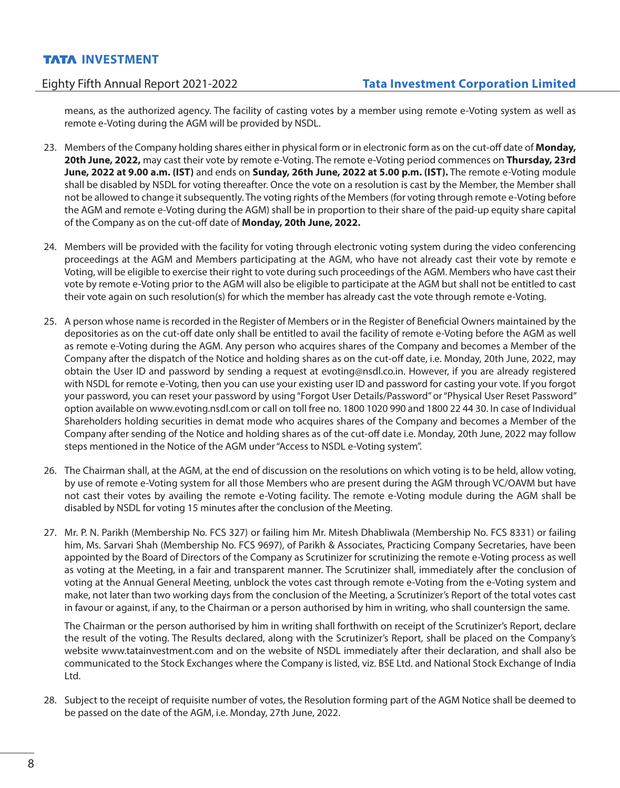means, as the authorized agency. The facility of casting votes by a member using remote e-Voting system as well as remote e-Voting during the AGM will be provided by NSDL.

- 23. Members of the Company holding shares either in physical form or in electronic form as on the cut-off date of **Monday, 20th June, 2022,** may cast their vote by remote e-Voting. The remote e-Voting period commences on **Thursday, 23rd June, 2022 at 9.00 a.m. (IST)** and ends on **Sunday, 26th June, 2022 at 5.00 p.m. (IST).** The remote e-Voting module shall be disabled by NSDL for voting thereafter. Once the vote on a resolution is cast by the Member, the Member shall not be allowed to change it subsequently. The voting rights of the Members (for voting through remote e-Voting before the AGM and remote e-Voting during the AGM) shall be in proportion to their share of the paid-up equity share capital of the Company as on the cut-off date of **Monday, 20th June, 2022.**
- 24. Members will be provided with the facility for voting through electronic voting system during the video conferencing proceedings at the AGM and Members participating at the AGM, who have not already cast their vote by remote e Voting, will be eligible to exercise their right to vote during such proceedings of the AGM. Members who have cast their vote by remote e-Voting prior to the AGM will also be eligible to participate at the AGM but shall not be entitled to cast their vote again on such resolution(s) for which the member has already cast the vote through remote e-Voting.
- 25. A person whose name is recorded in the Register of Members or in the Register of Beneficial Owners maintained by the depositories as on the cut-off date only shall be entitled to avail the facility of remote e-Voting before the AGM as well as remote e-Voting during the AGM. Any person who acquires shares of the Company and becomes a Member of the Company after the dispatch of the Notice and holding shares as on the cut-off date, i.e. Monday, 20th June, 2022, may obtain the User ID and password by sending a request at evoting@nsdl.co.in. However, if you are already registered with NSDL for remote e-Voting, then you can use your existing user ID and password for casting your vote. If you forgot your password, you can reset your password by using "Forgot User Details/Password" or "Physical User Reset Password" option available on www.evoting.nsdl.com or call on toll free no. 1800 1020 990 and 1800 22 44 30. In case of Individual Shareholders holding securities in demat mode who acquires shares of the Company and becomes a Member of the Company after sending of the Notice and holding shares as of the cut-off date i.e. Monday, 20th June, 2022 may follow steps mentioned in the Notice of the AGM under "Access to NSDL e-Voting system".
- 26. The Chairman shall, at the AGM, at the end of discussion on the resolutions on which voting is to be held, allow voting, by use of remote e-Voting system for all those Members who are present during the AGM through VC/OAVM but have not cast their votes by availing the remote e-Voting facility. The remote e-Voting module during the AGM shall be disabled by NSDL for voting 15 minutes after the conclusion of the Meeting.
- 27. Mr. P. N. Parikh (Membership No. FCS 327) or failing him Mr. Mitesh Dhabliwala (Membership No. FCS 8331) or failing him, Ms. Sarvari Shah (Membership No. FCS 9697), of Parikh & Associates, Practicing Company Secretaries, have been appointed by the Board of Directors of the Company as Scrutinizer for scrutinizing the remote e-Voting process as well as voting at the Meeting, in a fair and transparent manner. The Scrutinizer shall, immediately after the conclusion of voting at the Annual General Meeting, unblock the votes cast through remote e-Voting from the e-Voting system and make, not later than two working days from the conclusion of the Meeting, a Scrutinizer's Report of the total votes cast in favour or against, if any, to the Chairman or a person authorised by him in writing, who shall countersign the same.

 The Chairman or the person authorised by him in writing shall forthwith on receipt of the Scrutinizer's Report, declare the result of the voting. The Results declared, along with the Scrutinizer's Report, shall be placed on the Company's website www.tatainvestment.com and on the website of NSDL immediately after their declaration, and shall also be communicated to the Stock Exchanges where the Company is listed, viz. BSE Ltd. and National Stock Exchange of India Ltd.

28. Subject to the receipt of requisite number of votes, the Resolution forming part of the AGM Notice shall be deemed to be passed on the date of the AGM, i.e. Monday, 27th June, 2022.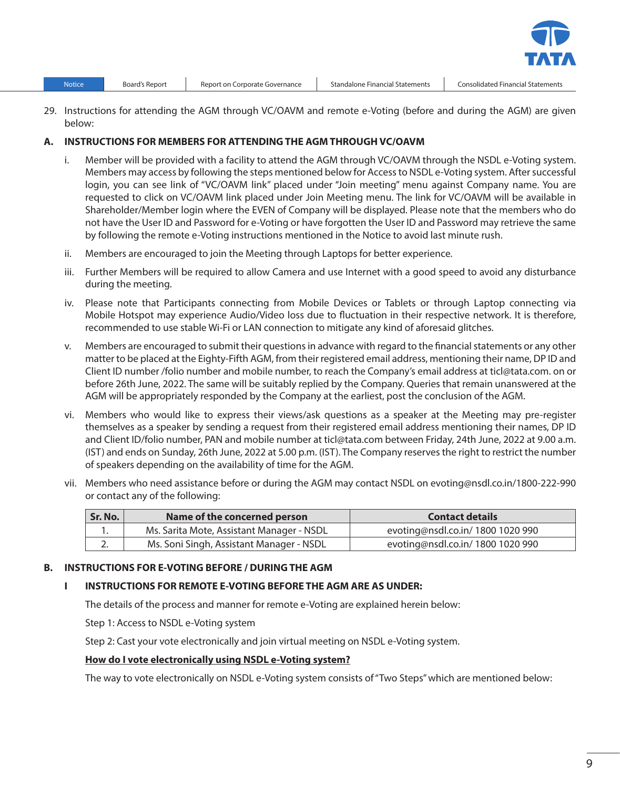- 
- 29. Instructions for attending the AGM through VC/OAVM and remote e-Voting (before and during the AGM) are given below:

### **A. INSTRUCTIONS FOR MEMBERS FOR ATTENDING THE AGM THROUGH VC/OAVM**

- i. Member will be provided with a facility to attend the AGM through VC/OAVM through the NSDL e-Voting system. Members may access by following the steps mentioned below for Access to NSDL e-Voting system. After successful login, you can see link of "VC/OAVM link" placed under "Join meeting" menu against Company name. You are requested to click on VC/OAVM link placed under Join Meeting menu. The link for VC/OAVM will be available in Shareholder/Member login where the EVEN of Company will be displayed. Please note that the members who do not have the User ID and Password for e-Voting or have forgotten the User ID and Password may retrieve the same by following the remote e-Voting instructions mentioned in the Notice to avoid last minute rush.
- ii. Members are encouraged to join the Meeting through Laptops for better experience.
- iii. Further Members will be required to allow Camera and use Internet with a good speed to avoid any disturbance during the meeting.
- iv. Please note that Participants connecting from Mobile Devices or Tablets or through Laptop connecting via Mobile Hotspot may experience Audio/Video loss due to fluctuation in their respective network. It is therefore, recommended to use stable Wi-Fi or LAN connection to mitigate any kind of aforesaid glitches.
- v. Members are encouraged to submit their questions in advance with regard to the financial statements or any other matter to be placed at the Eighty-Fifth AGM, from their registered email address, mentioning their name, DP ID and Client ID number /folio number and mobile number, to reach the Company's email address at ticl@tata.com. on or before 26th June, 2022. The same will be suitably replied by the Company. Queries that remain unanswered at the AGM will be appropriately responded by the Company at the earliest, post the conclusion of the AGM.
- vi. Members who would like to express their views/ask questions as a speaker at the Meeting may pre-register themselves as a speaker by sending a request from their registered email address mentioning their names, DP ID and Client ID/folio number, PAN and mobile number at ticl@tata.com between Friday, 24th June, 2022 at 9.00 a.m. (IST) and ends on Sunday, 26th June, 2022 at 5.00 p.m. (IST). The Company reserves the right to restrict the number of speakers depending on the availability of time for the AGM.
- vii. Members who need assistance before or during the AGM may contact NSDL on evoting@nsdl.co.in/1800-222-990 or contact any of the following:

| Sr. No. | Name of the concerned person              | <b>Contact details</b>            |
|---------|-------------------------------------------|-----------------------------------|
|         | Ms. Sarita Mote, Assistant Manager - NSDL | evoting@nsdl.co.in/ 1800 1020 990 |
| z.      | Ms. Soni Singh, Assistant Manager - NSDL  | evoting@nsdl.co.in/ 1800 1020 990 |

## **B. INSTRUCTIONS FOR E-VOTING BEFORE / DURING THE AGM**

## **I INSTRUCTIONS FOR REMOTE E-VOTING BEFORE THE AGM ARE AS UNDER:**

The details of the process and manner for remote e-Voting are explained herein below:

Step 1: Access to NSDL e-Voting system

Step 2: Cast your vote electronically and join virtual meeting on NSDL e-Voting system.

#### **How do I vote electronically using NSDL e-Voting system?**

The way to vote electronically on NSDL e-Voting system consists of "Two Steps" which are mentioned below:

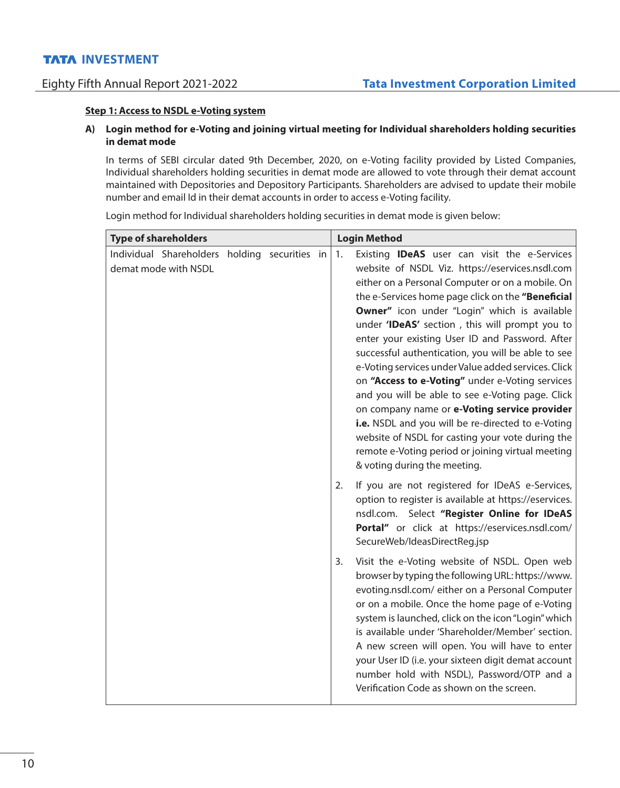#### **Step 1: Access to NSDL e-Voting system**

## **A) Login method for e-Voting and joining virtual meeting for Individual shareholders holding securities in demat mode**

In terms of SEBI circular dated 9th December, 2020, on e-Voting facility provided by Listed Companies, Individual shareholders holding securities in demat mode are allowed to vote through their demat account maintained with Depositories and Depository Participants. Shareholders are advised to update their mobile number and email Id in their demat accounts in order to access e-Voting facility.

**Type of shareholders Login Method** Individual Shareholders holding securities in demat mode with NSDL 1. Existing **IDeAS** user can visit the e-Services website of NSDL Viz. https://eservices.nsdl.com either on a Personal Computer or on a mobile. On the e-Services home page click on the **"Beneficial Owner"** icon under "Login" which is available under **'IDeAS'** section , this will prompt you to enter your existing User ID and Password. After successful authentication, you will be able to see e-Voting services under Value added services. Click on **"Access to e-Voting"** under e-Voting services and you will be able to see e-Voting page. Click on company name or **e-Voting service provider i.e.** NSDL and you will be re-directed to e-Voting website of NSDL for casting your vote during the remote e-Voting period or joining virtual meeting & voting during the meeting. 2. If you are not registered for IDeAS e-Services, option to register is available at https://eservices. nsdl.com. Select **"Register Online for IDeAS Portal"** or click at https://eservices.nsdl.com/ SecureWeb/IdeasDirectReg.jsp 3. Visit the e-Voting website of NSDL. Open web browser by typing the following URL: https://www. evoting.nsdl.com/ either on a Personal Computer or on a mobile. Once the home page of e-Voting system is launched, click on the icon "Login" which is available under 'Shareholder/Member' section. A new screen will open. You will have to enter your User ID (i.e. your sixteen digit demat account number hold with NSDL), Password/OTP and a Verification Code as shown on the screen.

Login method for Individual shareholders holding securities in demat mode is given below: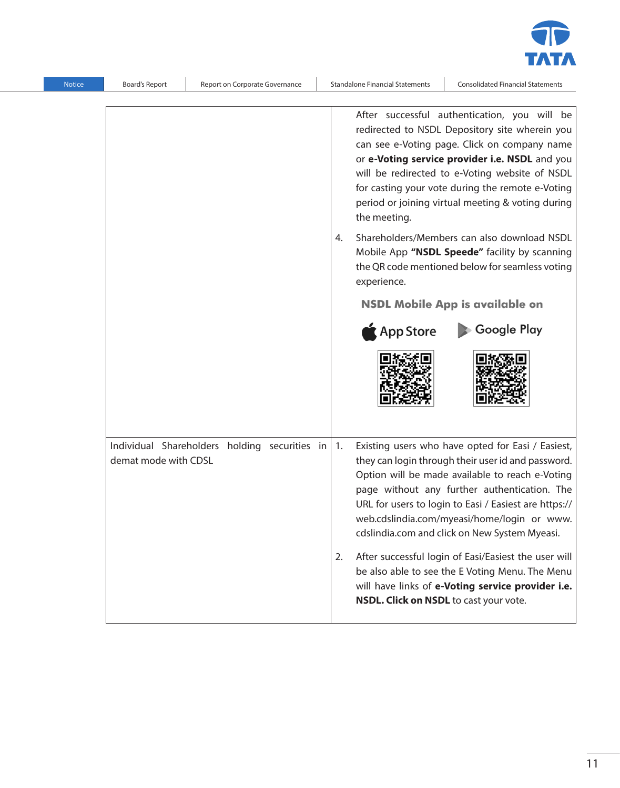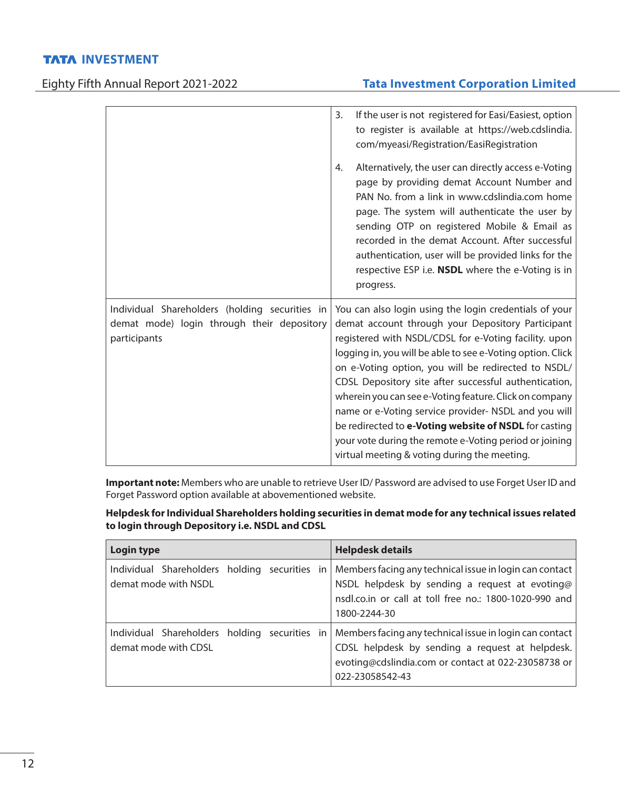# Eighty Fifth Annual Report 2021-2022 **Tata Investment Corporation Limited**

|                                                                                                              | If the user is not registered for Easi/Easiest, option<br>3.<br>to register is available at https://web.cdslindia.<br>com/myeasi/Registration/EasiRegistration                                                                                                                                                                                                                                                                                                                                                                                                                                                                          |
|--------------------------------------------------------------------------------------------------------------|-----------------------------------------------------------------------------------------------------------------------------------------------------------------------------------------------------------------------------------------------------------------------------------------------------------------------------------------------------------------------------------------------------------------------------------------------------------------------------------------------------------------------------------------------------------------------------------------------------------------------------------------|
|                                                                                                              | Alternatively, the user can directly access e-Voting<br>4.<br>page by providing demat Account Number and<br>PAN No. from a link in www.cdslindia.com home<br>page. The system will authenticate the user by<br>sending OTP on registered Mobile & Email as<br>recorded in the demat Account. After successful<br>authentication, user will be provided links for the<br>respective ESP i.e. NSDL where the e-Voting is in<br>progress.                                                                                                                                                                                                  |
| Individual Shareholders (holding securities in<br>demat mode) login through their depository<br>participants | You can also login using the login credentials of your<br>demat account through your Depository Participant<br>registered with NSDL/CDSL for e-Voting facility. upon<br>logging in, you will be able to see e-Voting option. Click<br>on e-Voting option, you will be redirected to NSDL/<br>CDSL Depository site after successful authentication,<br>wherein you can see e-Voting feature. Click on company<br>name or e-Voting service provider- NSDL and you will<br>be redirected to e-Voting website of NSDL for casting<br>your vote during the remote e-Voting period or joining<br>virtual meeting & voting during the meeting. |

**Important note:** Members who are unable to retrieve User ID/ Password are advised to use Forget User ID and Forget Password option available at abovementioned website.

**Helpdesk for Individual Shareholders holding securities in demat mode for any technical issues related to login through Depository i.e. NSDL and CDSL**

| Login type                                                            | <b>Helpdesk details</b>                                                                                                                                                              |
|-----------------------------------------------------------------------|--------------------------------------------------------------------------------------------------------------------------------------------------------------------------------------|
| Individual Shareholders holding securities in<br>demat mode with NSDL | Members facing any technical issue in login can contact<br>NSDL helpdesk by sending a request at evoting@<br>nsdl.co.in or call at toll free no.: 1800-1020-990 and<br>1800-2244-30  |
| Individual Shareholders holding securities in<br>demat mode with CDSL | Members facing any technical issue in login can contact<br>CDSL helpdesk by sending a request at helpdesk.<br>evoting@cdslindia.com or contact at 022-23058738 or<br>022-23058542-43 |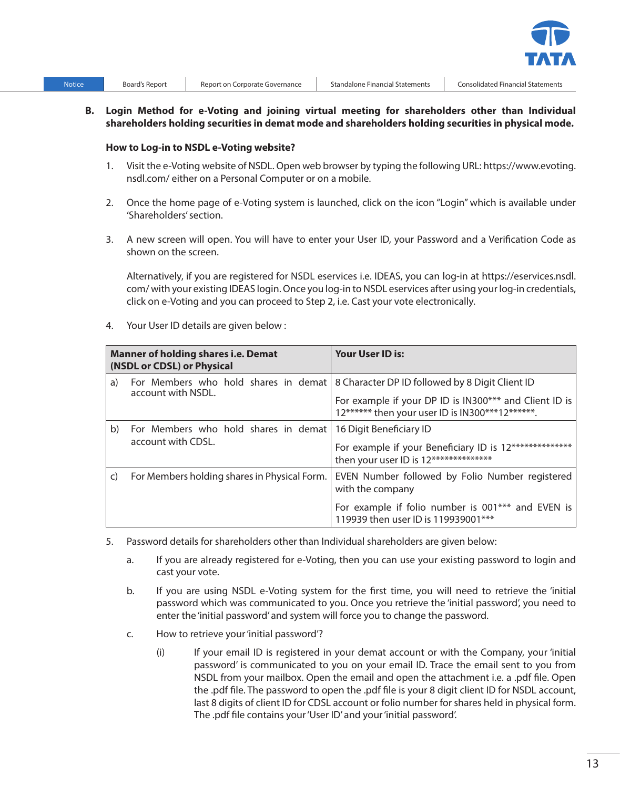

### **B. Login Method for e-Voting and joining virtual meeting for shareholders other than Individual shareholders holding securities in demat mode and shareholders holding securities in physical mode.**

#### **How to Log-in to NSDL e-Voting website?**

- 1. Visit the e-Voting website of NSDL. Open web browser by typing the following URL: https://www.evoting. nsdl.com/ either on a Personal Computer or on a mobile.
- 2. Once the home page of e-Voting system is launched, click on the icon "Login" which is available under 'Shareholders' section.
- 3. A new screen will open. You will have to enter your User ID, your Password and a Verification Code as shown on the screen.

 Alternatively, if you are registered for NSDL eservices i.e. IDEAS, you can log-in at https://eservices.nsdl. com/ with your existing IDEAS login. Once you log-in to NSDL eservices after using your log-in credentials, click on e-Voting and you can proceed to Step 2, i.e. Cast your vote electronically.

4. Your User ID details are given below :

| <b>Manner of holding shares i.e. Demat</b><br>(NSDL or CDSL) or Physical |                                                            | <b>Your User ID is:</b>                                                                                                                                                                             |
|--------------------------------------------------------------------------|------------------------------------------------------------|-----------------------------------------------------------------------------------------------------------------------------------------------------------------------------------------------------|
| a)                                                                       | account with NSDL.                                         | For Members who hold shares in demat   8 Character DP ID followed by 8 Digit Client ID<br>For example if your DP ID is IN300*** and Client ID is<br>12****** then your user ID is IN300***12******. |
| b)                                                                       | For Members who hold shares in demat<br>account with CDSL. | 16 Digit Beneficiary ID<br>For example if your Beneficiary ID is 12**************<br>then your user ID is 12**************                                                                          |
| $\mathsf{C}$                                                             | For Members holding shares in Physical Form.               | EVEN Number followed by Folio Number registered<br>with the company<br>For example if folio number is 001*** and EVEN is<br>119939 then user ID is 119939001***                                     |

- 5. Password details for shareholders other than Individual shareholders are given below:
	- a. If you are already registered for e-Voting, then you can use your existing password to login and cast your vote.
	- b. If you are using NSDL e-Voting system for the first time, you will need to retrieve the 'initial password which was communicated to you. Once you retrieve the 'initial password', you need to enter the 'initial password' and system will force you to change the password.
	- c. How to retrieve your 'initial password'?
		- (i) If your email ID is registered in your demat account or with the Company, your 'initial password' is communicated to you on your email ID. Trace the email sent to you from NSDL from your mailbox. Open the email and open the attachment i.e. a .pdf file. Open the .pdf file. The password to open the .pdf file is your 8 digit client ID for NSDL account, last 8 digits of client ID for CDSL account or folio number for shares held in physical form. The .pdf file contains your 'User ID' and your 'initial password'.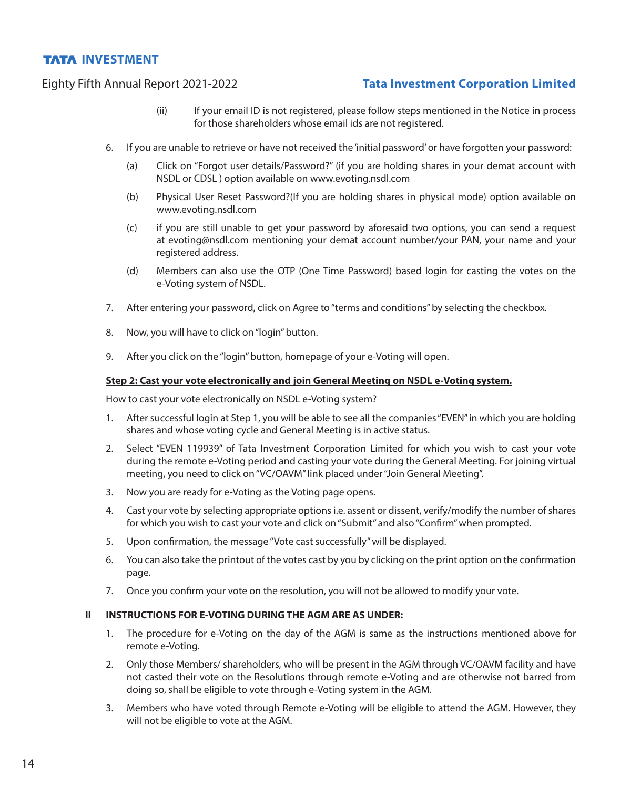# Eighty Fifth Annual Report 2021-2022 **Tata Investment Corporation Limited**

- (ii) If your email ID is not registered, please follow steps mentioned in the Notice in process for those shareholders whose email ids are not registered.
- 6. If you are unable to retrieve or have not received the 'initial password' or have forgotten your password:
	- (a) Click on "Forgot user details/Password?" (if you are holding shares in your demat account with NSDL or CDSL ) option available on www.evoting.nsdl.com
	- (b) Physical User Reset Password?(If you are holding shares in physical mode) option available on www.evoting.nsdl.com
	- (c) if you are still unable to get your password by aforesaid two options, you can send a request at evoting@nsdl.com mentioning your demat account number/your PAN, your name and your registered address.
	- (d) Members can also use the OTP (One Time Password) based login for casting the votes on the e-Voting system of NSDL.
- 7. After entering your password, click on Agree to "terms and conditions" by selecting the checkbox.
- 8. Now, you will have to click on "login" button.
- 9. After you click on the "login" button, homepage of your e-Voting will open.

### **Step 2: Cast your vote electronically and join General Meeting on NSDL e-Voting system.**

How to cast your vote electronically on NSDL e-Voting system?

- 1. After successful login at Step 1, you will be able to see all the companies "EVEN" in which you are holding shares and whose voting cycle and General Meeting is in active status.
- 2. Select "EVEN 119939" of Tata Investment Corporation Limited for which you wish to cast your vote during the remote e-Voting period and casting your vote during the General Meeting. For joining virtual meeting, you need to click on "VC/OAVM" link placed under "Join General Meeting".
- 3. Now you are ready for e-Voting as the Voting page opens.
- 4. Cast your vote by selecting appropriate options i.e. assent or dissent, verify/modify the number of shares for which you wish to cast your vote and click on "Submit" and also "Confirm" when prompted.
- 5. Upon confirmation, the message "Vote cast successfully" will be displayed.
- 6. You can also take the printout of the votes cast by you by clicking on the print option on the confirmation page.
- 7. Once you confirm your vote on the resolution, you will not be allowed to modify your vote.

#### **II INSTRUCTIONS FOR E-VOTING DURING THE AGM ARE AS UNDER:**

- 1. The procedure for e-Voting on the day of the AGM is same as the instructions mentioned above for remote e-Voting.
- 2. Only those Members/ shareholders, who will be present in the AGM through VC/OAVM facility and have not casted their vote on the Resolutions through remote e-Voting and are otherwise not barred from doing so, shall be eligible to vote through e-Voting system in the AGM.
- 3. Members who have voted through Remote e-Voting will be eligible to attend the AGM. However, they will not be eligible to vote at the AGM.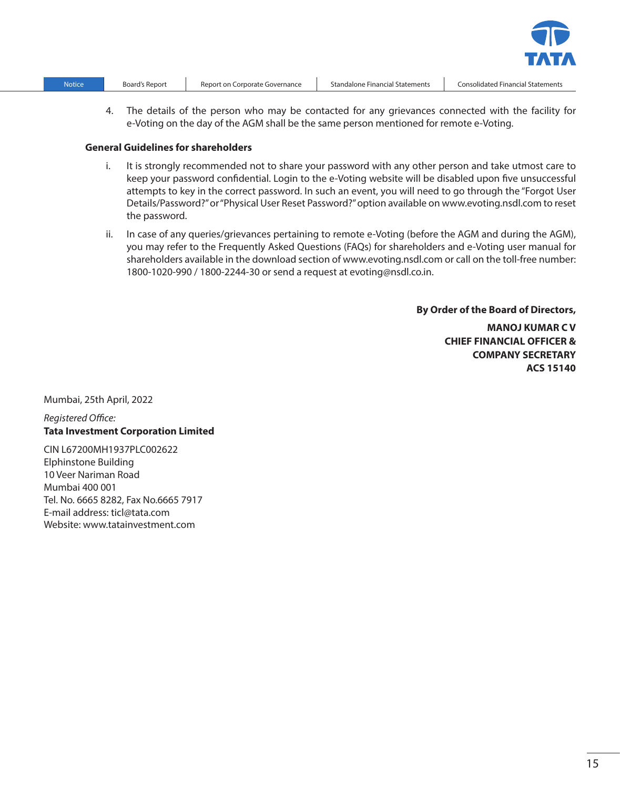| Notice | В١ |
|--------|----|
|        |    |

4. The details of the person who may be contacted for any grievances connected with the facility for e-Voting on the day of the AGM shall be the same person mentioned for remote e-Voting.

#### **General Guidelines for shareholders**

- i. It is strongly recommended not to share your password with any other person and take utmost care to keep your password confidential. Login to the e-Voting website will be disabled upon five unsuccessful attempts to key in the correct password. In such an event, you will need to go through the "Forgot User Details/Password?" or "Physical User Reset Password?" option available on www.evoting.nsdl.com to reset the password.
- ii. In case of any queries/grievances pertaining to remote e-Voting (before the AGM and during the AGM), you may refer to the Frequently Asked Questions (FAQs) for shareholders and e-Voting user manual for shareholders available in the download section of www.evoting.nsdl.com or call on the toll-free number: 1800-1020-990 / 1800-2244-30 or send a request at evoting@nsdl.co.in.

**By Order of the Board of Directors,**

**MANOJ KUMAR C V CHIEF FINANCIAL OFFICER & COMPANY SECRETARY ACS 15140**

Mumbai, 25th April, 2022

### *Registered Office:* **Tata Investment Corporation Limited**

CIN L67200MH1937PLC002622 Elphinstone Building 10 Veer Nariman Road Mumbai 400 001 Tel. No. 6665 8282, Fax No.6665 7917 E-mail address: ticl@tata.com Website: www.tatainvestment.com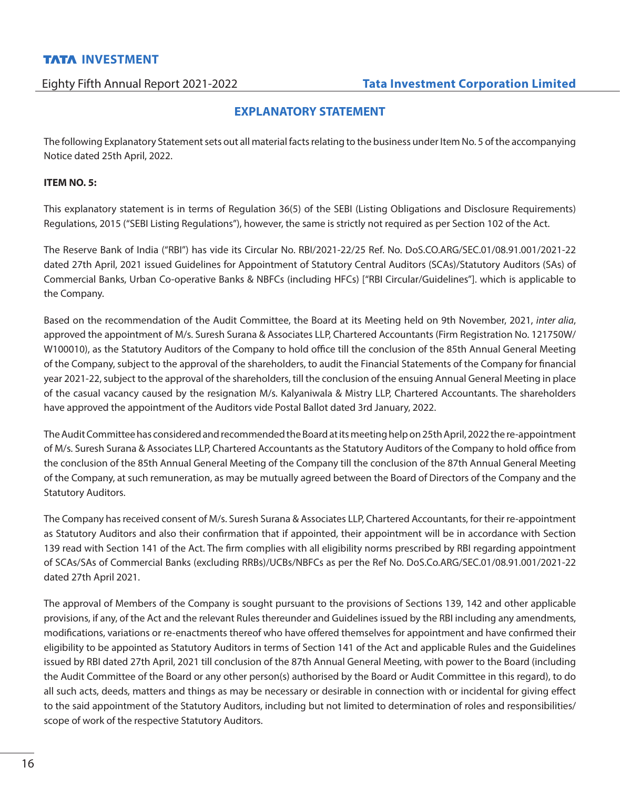## **EXPLANATORY STATEMENT**

The following Explanatory Statement sets out all material facts relating to the business under Item No. 5 of the accompanying Notice dated 25th April, 2022.

### **ITEM NO. 5:**

This explanatory statement is in terms of Regulation 36(5) of the SEBI (Listing Obligations and Disclosure Requirements) Regulations, 2015 ("SEBI Listing Regulations"), however, the same is strictly not required as per Section 102 of the Act.

The Reserve Bank of India ("RBI") has vide its Circular No. RBI/2021-22/25 Ref. No. DoS.CO.ARG/SEC.01/08.91.001/2021-22 dated 27th April, 2021 issued Guidelines for Appointment of Statutory Central Auditors (SCAs)/Statutory Auditors (SAs) of Commercial Banks, Urban Co-operative Banks & NBFCs (including HFCs) ["RBI Circular/Guidelines"]. which is applicable to the Company.

Based on the recommendation of the Audit Committee, the Board at its Meeting held on 9th November, 2021, *inter alia*, approved the appointment of M/s. Suresh Surana & Associates LLP, Chartered Accountants (Firm Registration No. 121750W/ W100010), as the Statutory Auditors of the Company to hold office till the conclusion of the 85th Annual General Meeting of the Company, subject to the approval of the shareholders, to audit the Financial Statements of the Company for financial year 2021-22, subject to the approval of the shareholders, till the conclusion of the ensuing Annual General Meeting in place of the casual vacancy caused by the resignation M/s. Kalyaniwala & Mistry LLP, Chartered Accountants. The shareholders have approved the appointment of the Auditors vide Postal Ballot dated 3rd January, 2022.

The Audit Committee has considered and recommended the Board at its meeting help on 25th April, 2022 the re-appointment of M/s. Suresh Surana & Associates LLP, Chartered Accountants as the Statutory Auditors of the Company to hold office from the conclusion of the 85th Annual General Meeting of the Company till the conclusion of the 87th Annual General Meeting of the Company, at such remuneration, as may be mutually agreed between the Board of Directors of the Company and the Statutory Auditors.

The Company has received consent of M/s. Suresh Surana & Associates LLP, Chartered Accountants, for their re-appointment as Statutory Auditors and also their confirmation that if appointed, their appointment will be in accordance with Section 139 read with Section 141 of the Act. The firm complies with all eligibility norms prescribed by RBI regarding appointment of SCAs/SAs of Commercial Banks (excluding RRBs)/UCBs/NBFCs as per the Ref No. DoS.Co.ARG/SEC.01/08.91.001/2021-22 dated 27th April 2021.

The approval of Members of the Company is sought pursuant to the provisions of Sections 139, 142 and other applicable provisions, if any, of the Act and the relevant Rules thereunder and Guidelines issued by the RBI including any amendments, modifications, variations or re-enactments thereof who have offered themselves for appointment and have confirmed their eligibility to be appointed as Statutory Auditors in terms of Section 141 of the Act and applicable Rules and the Guidelines issued by RBI dated 27th April, 2021 till conclusion of the 87th Annual General Meeting, with power to the Board (including the Audit Committee of the Board or any other person(s) authorised by the Board or Audit Committee in this regard), to do all such acts, deeds, matters and things as may be necessary or desirable in connection with or incidental for giving effect to the said appointment of the Statutory Auditors, including but not limited to determination of roles and responsibilities/ scope of work of the respective Statutory Auditors.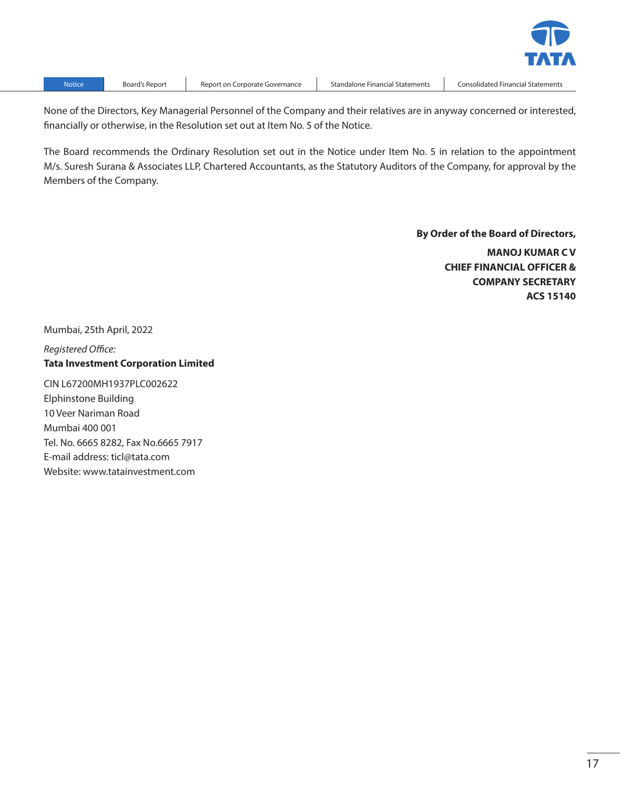

Notice Board's Report Report on Corporate Governance Standalone Financial Statements Consolidated Financial Statements

None of the Directors, Key Managerial Personnel of the Company and their relatives are in anyway concerned or interested, financially or otherwise, in the Resolution set out at Item No. 5 of the Notice.

The Board recommends the Ordinary Resolution set out in the Notice under Item No. 5 in relation to the appointment M/s. Suresh Surana & Associates LLP, Chartered Accountants, as the Statutory Auditors of the Company, for approval by the Members of the Company.

> **By Order of the Board of Directors, MANOJ KUMAR C V CHIEF FINANCIAL OFFICER & COMPANY SECRETARY ACS 15140**

Mumbai, 25th April, 2022

*Registered Office:* **Tata Investment Corporation Limited**

CIN L67200MH1937PLC002622 Elphinstone Building 10 Veer Nariman Road Mumbai 400 001 Tel. No. 6665 8282, Fax No.6665 7917 E-mail address: ticl@tata.com Website: www.tatainvestment.com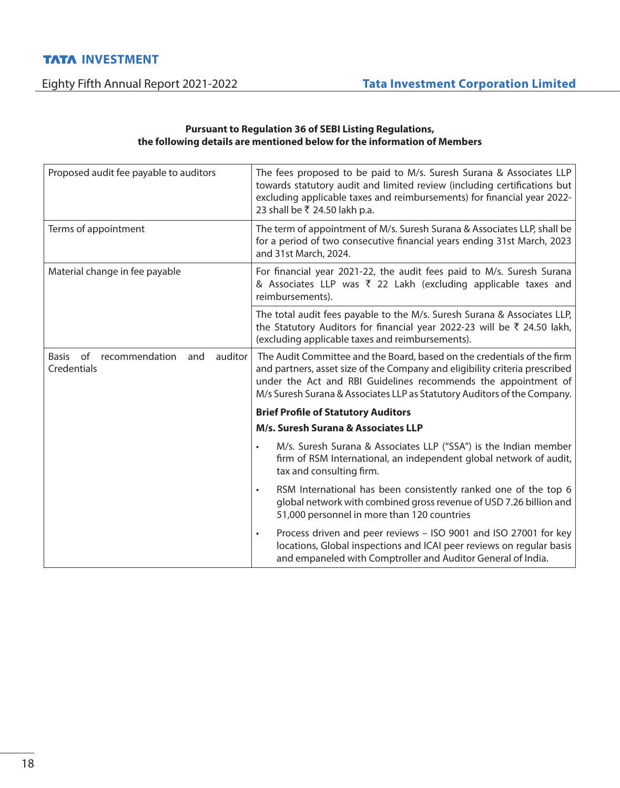## **Pursuant to Regulation 36 of SEBI Listing Regulations, the following details are mentioned below for the information of Members**

| Proposed audit fee payable to auditors                                | The fees proposed to be paid to M/s. Suresh Surana & Associates LLP<br>towards statutory audit and limited review (including certifications but<br>excluding applicable taxes and reimbursements) for financial year 2022-<br>23 shall be ₹ 24.50 lakh p.a.                                          |
|-----------------------------------------------------------------------|------------------------------------------------------------------------------------------------------------------------------------------------------------------------------------------------------------------------------------------------------------------------------------------------------|
| Terms of appointment                                                  | The term of appointment of M/s. Suresh Surana & Associates LLP, shall be<br>for a period of two consecutive financial years ending 31st March, 2023<br>and 31st March, 2024.                                                                                                                         |
| Material change in fee payable                                        | For financial year 2021-22, the audit fees paid to M/s. Suresh Surana<br>& Associates LLP was ₹ 22 Lakh (excluding applicable taxes and<br>reimbursements).                                                                                                                                          |
|                                                                       | The total audit fees payable to the M/s. Suresh Surana & Associates LLP,<br>the Statutory Auditors for financial year 2022-23 will be ₹ 24.50 lakh,<br>(excluding applicable taxes and reimbursements).                                                                                              |
| recommendation<br>auditor<br><b>Basis</b><br>of<br>and<br>Credentials | The Audit Committee and the Board, based on the credentials of the firm<br>and partners, asset size of the Company and eligibility criteria prescribed<br>under the Act and RBI Guidelines recommends the appointment of<br>M/s Suresh Surana & Associates LLP as Statutory Auditors of the Company. |
|                                                                       | <b>Brief Profile of Statutory Auditors</b>                                                                                                                                                                                                                                                           |
|                                                                       | M/s. Suresh Surana & Associates LLP                                                                                                                                                                                                                                                                  |
|                                                                       | M/s. Suresh Surana & Associates LLP ("SSA") is the Indian member<br>$\bullet$<br>firm of RSM International, an independent global network of audit,<br>tax and consulting firm.                                                                                                                      |
|                                                                       | RSM International has been consistently ranked one of the top 6<br>$\bullet$<br>global network with combined gross revenue of USD 7.26 billion and<br>51,000 personnel in more than 120 countries                                                                                                    |
|                                                                       | Process driven and peer reviews - ISO 9001 and ISO 27001 for key<br>$\bullet$<br>locations, Global inspections and ICAI peer reviews on regular basis<br>and empaneled with Comptroller and Auditor General of India.                                                                                |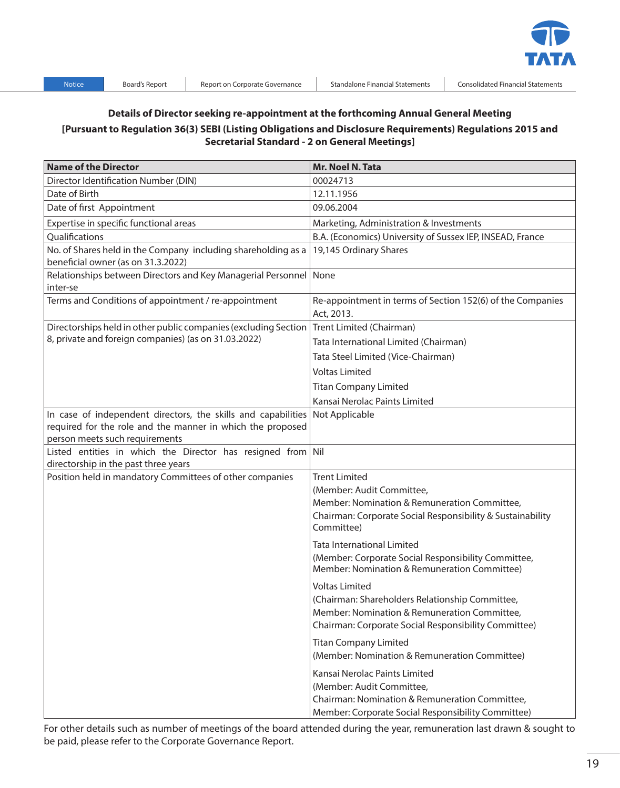

## **Details of Director seeking re-appointment at the forthcoming Annual General Meeting [Pursuant to Regulation 36(3) SEBI (Listing Obligations and Disclosure Requirements) Regulations 2015 and Secretarial Standard - 2 on General Meetings]**

| <b>Name of the Director</b>                                                                                                                                   | Mr. Noel N. Tata                                                                                                                                                                 |
|---------------------------------------------------------------------------------------------------------------------------------------------------------------|----------------------------------------------------------------------------------------------------------------------------------------------------------------------------------|
| Director Identification Number (DIN)                                                                                                                          | 00024713                                                                                                                                                                         |
| Date of Birth                                                                                                                                                 | 12.11.1956                                                                                                                                                                       |
| Date of first Appointment                                                                                                                                     | 09.06.2004                                                                                                                                                                       |
| Expertise in specific functional areas                                                                                                                        | Marketing, Administration & Investments                                                                                                                                          |
| Qualifications                                                                                                                                                | B.A. (Economics) University of Sussex IEP, INSEAD, France                                                                                                                        |
| No. of Shares held in the Company including shareholding as a<br>beneficial owner (as on 31.3.2022)                                                           | 19,145 Ordinary Shares                                                                                                                                                           |
| Relationships between Directors and Key Managerial Personnel None<br>inter-se                                                                                 |                                                                                                                                                                                  |
| Terms and Conditions of appointment / re-appointment                                                                                                          | Re-appointment in terms of Section 152(6) of the Companies<br>Act, 2013.                                                                                                         |
| Directorships held in other public companies (excluding Section                                                                                               | Trent Limited (Chairman)                                                                                                                                                         |
| 8, private and foreign companies) (as on 31.03.2022)                                                                                                          | Tata International Limited (Chairman)                                                                                                                                            |
|                                                                                                                                                               | Tata Steel Limited (Vice-Chairman)                                                                                                                                               |
|                                                                                                                                                               | <b>Voltas Limited</b>                                                                                                                                                            |
|                                                                                                                                                               | <b>Titan Company Limited</b>                                                                                                                                                     |
|                                                                                                                                                               | Kansai Nerolac Paints Limited                                                                                                                                                    |
| In case of independent directors, the skills and capabilities<br>required for the role and the manner in which the proposed<br>person meets such requirements | Not Applicable                                                                                                                                                                   |
| Listed entities in which the Director has resigned from Nil                                                                                                   |                                                                                                                                                                                  |
| directorship in the past three years                                                                                                                          |                                                                                                                                                                                  |
| Position held in mandatory Committees of other companies                                                                                                      | <b>Trent Limited</b>                                                                                                                                                             |
|                                                                                                                                                               | (Member: Audit Committee,                                                                                                                                                        |
|                                                                                                                                                               | Member: Nomination & Remuneration Committee,<br>Chairman: Corporate Social Responsibility & Sustainability<br>Committee)                                                         |
|                                                                                                                                                               | <b>Tata International Limited</b>                                                                                                                                                |
|                                                                                                                                                               | (Member: Corporate Social Responsibility Committee,<br>Member: Nomination & Remuneration Committee)                                                                              |
|                                                                                                                                                               | <b>Voltas Limited</b><br>(Chairman: Shareholders Relationship Committee,<br>Member: Nomination & Remuneration Committee,<br>Chairman: Corporate Social Responsibility Committee) |
|                                                                                                                                                               | <b>Titan Company Limited</b><br>(Member: Nomination & Remuneration Committee)                                                                                                    |
|                                                                                                                                                               | Kansai Nerolac Paints Limited<br>(Member: Audit Committee,<br>Chairman: Nomination & Remuneration Committee,<br>Member: Corporate Social Responsibility Committee)               |

For other details such as number of meetings of the board attended during the year, remuneration last drawn & sought to be paid, please refer to the Corporate Governance Report.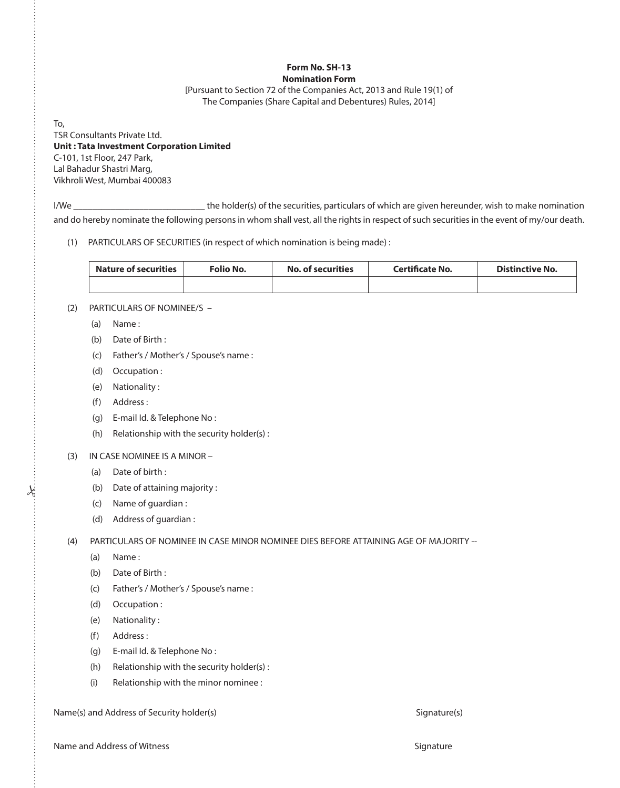#### **Form No. SH-13 Nomination Form**

[Pursuant to Section 72 of the Companies Act, 2013 and Rule 19(1) of The Companies (Share Capital and Debentures) Rules, 2014]

To, TSR Consultants Private Ltd. **Unit : Tata Investment Corporation Limited** C-101, 1st Floor, 247 Park, Lal Bahadur Shastri Marg, Vikhroli West, Mumbai 400083

I/We \_\_\_\_\_\_\_\_\_\_\_\_\_\_\_\_\_\_\_\_\_\_\_\_\_\_\_\_ the holder(s) of the securities, particulars of which are given hereunder, wish to make nomination and do hereby nominate the following persons in whom shall vest, all the rights in respect of such securities in the event of my/our death.

(1) PARTICULARS OF SECURITIES (in respect of which nomination is being made) :

| <b>Nature of securities</b> | Folio No. | <b>No. of securities</b> | <b>Certificate No.</b> | <b>Distinctive No.</b> |
|-----------------------------|-----------|--------------------------|------------------------|------------------------|
|                             |           |                          |                        |                        |

- (2) PARTICULARS OF NOMINEE/S -
	- (a) Name :
	- (b) Date of Birth :
	- (c) Father's / Mother's / Spouse's name :
	- (d) Occupation :
	- (e) Nationality :
	- (f) Address :
	- (g) E-mail Id. & Telephone No :
	- (h) Relationship with the security holder(s) :

## (3) IN CASE NOMINEE IS A MINOR –

- (a) Date of birth :
- (b) Date of attaining majority :
- (c) Name of guardian :
- (d) Address of guardian :

(4) PARTICULARS OF NOMINEE IN CASE MINOR NOMINEE DIES BEFORE ATTAINING AGE OF MAJORITY --

(a) Name :

 $\star$ 

- (b) Date of Birth :
- (c) Father's / Mother's / Spouse's name :
- (d) Occupation :
- (e) Nationality :
- (f) Address :
- (g) E-mail Id. & Telephone No :
- (h) Relationship with the security holder(s) :
- (i) Relationship with the minor nominee :

Name(s) and Address of Security holder(s) Signature(s) Signature(s) Signature(s)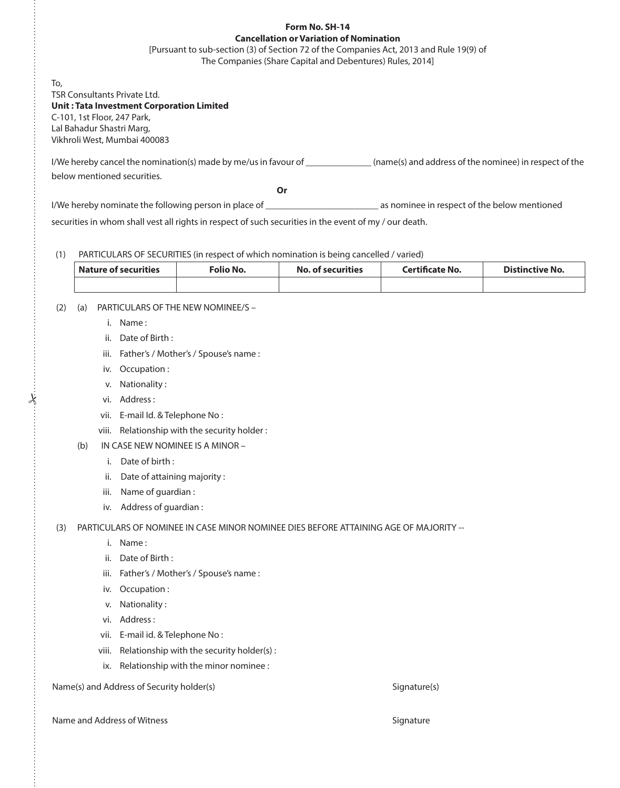## **Form No. SH-14 Cancellation or Variation of Nomination**

[Pursuant to sub-section (3) of Section 72 of the Companies Act, 2013 and Rule 19(9) of The Companies (Share Capital and Debentures) Rules, 2014]

To, TSR Consultants Private Ltd. **Unit : Tata Investment Corporation Limited** C-101, 1st Floor, 247 Park, Lal Bahadur Shastri Marg, Vikhroli West, Mumbai 400083

I/We hereby cancel the nomination(s) made by me/us in favour of \_\_\_\_\_\_\_\_\_\_\_\_\_\_(name(s) and address of the nominee) in respect of the below mentioned securities.

**Or Or Or** 

I/We hereby nominate the following person in place of \_\_\_\_\_\_\_\_\_\_\_\_\_\_\_\_\_\_\_\_\_\_\_\_\_\_\_ as nominee in respect of the below mentioned

securities in whom shall vest all rights in respect of such securities in the event of my / our death.

### (1) PARTICULARS OF SECURITIES (in respect of which nomination is being cancelled / varied)

| <b>Nature of securities</b> | Folio No. | <b>No. of securities</b> | <b>Certificate No.</b> | <b>Distinctive No.</b> |
|-----------------------------|-----------|--------------------------|------------------------|------------------------|
|                             |           |                          |                        |                        |

## (2) (a) PARTICULARS OF THE NEW NOMINEE/S –

- i. Name :
- ii. Date of Birth :
- iii. Father's / Mother's / Spouse's name :
- iv. Occupation :
- v. Nationality :
- vi. Address :

 $\dot{\mathbf{\hat{}}}$ 

- vii. E-mail Id. & Telephone No :
- viii. Relationship with the security holder :
- (b) IN CASE NEW NOMINEE IS A MINOR
	- i. Date of birth :
	- ii. Date of attaining majority :
	- iii. Name of guardian :
	- iv. Address of guardian :

(3) PARTICULARS OF NOMINEE IN CASE MINOR NOMINEE DIES BEFORE ATTAINING AGE OF MAJORITY --

- i. Name :
- ii. Date of Birth :
- iii. Father's / Mother's / Spouse's name :
- iv. Occupation :
- v. Nationality :
- vi. Address :
- vii. E-mail id. & Telephone No :
- viii. Relationship with the security holder(s) :
- ix. Relationship with the minor nominee :

Name(s) and Address of Security holder(s) Signature(s) Signature(s)

Name and Address of Witness Signature Signature Signature Signature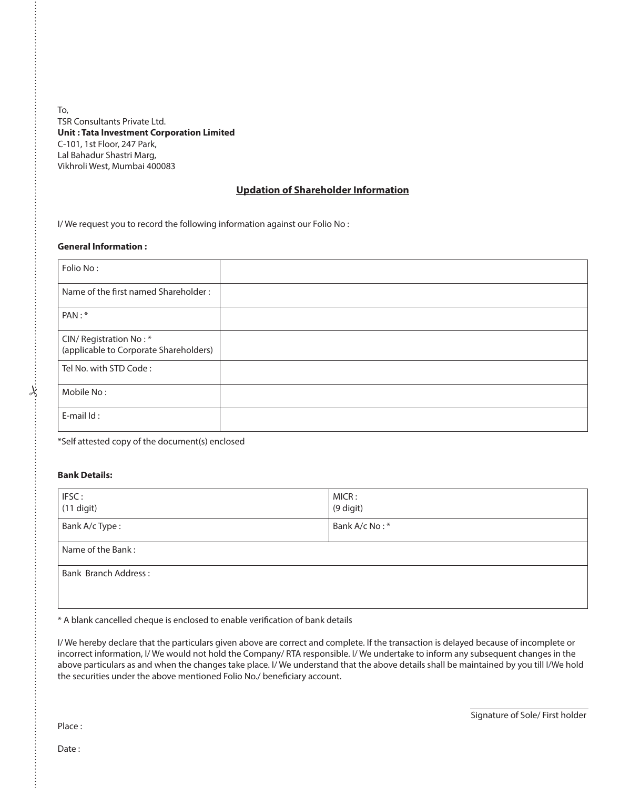To, TSR Consultants Private Ltd. **Unit : Tata Investment Corporation Limited** C-101, 1st Floor, 247 Park, Lal Bahadur Shastri Marg, Vikhroli West, Mumbai 400083

### **Updation of Shareholder Information**

I/ We request you to record the following information against our Folio No :

#### **General Information :**

| Folio No:                                                        |  |
|------------------------------------------------------------------|--|
| Name of the first named Shareholder:                             |  |
| PAN:*                                                            |  |
| CIN/ Registration No:*<br>(applicable to Corporate Shareholders) |  |
| Tel No. with STD Code:                                           |  |
| Mobile No:                                                       |  |
| E-mail Id:                                                       |  |

\*Self attested copy of the document(s) enclosed

#### **Bank Details:**

#

| IFSC:<br>$(11$ digit) | MICR:<br>(9 digit) |  |
|-----------------------|--------------------|--|
| Bank A/c Type:        | Bank A/c No:*      |  |
| Name of the Bank:     |                    |  |
| Bank Branch Address:  |                    |  |
|                       |                    |  |

\* A blank cancelled cheque is enclosed to enable verification of bank details

I/ We hereby declare that the particulars given above are correct and complete. If the transaction is delayed because of incomplete or incorrect information, I/ We would not hold the Company/ RTA responsible. I/ We undertake to inform any subsequent changes in the above particulars as and when the changes take place. I/ We understand that the above details shall be maintained by you till I/We hold the securities under the above mentioned Folio No./ beneficiary account.

Signature of Sole/ First holder

Place :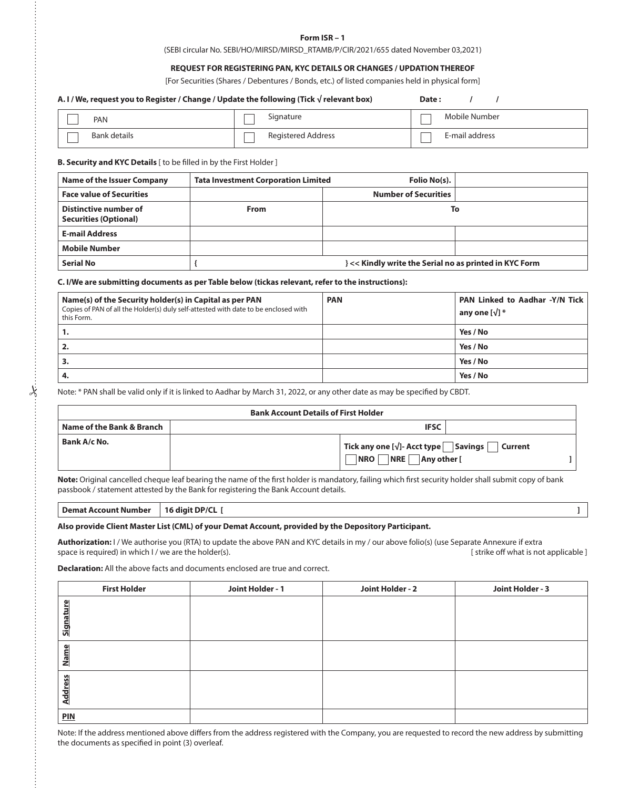#### **Form ISR – 1**

(SEBI circular No. SEBI/HO/MIRSD/MIRSD\_RTAMB/P/CIR/2021/655 dated November 03,2021)

#### **REQUEST FOR REGISTERING PAN, KYC DETAILS OR CHANGES / UPDATION THEREOF**

[For Securities (Shares / Debentures / Bonds, etc.) of listed companies held in physical form]

| A. I / We, request you to Register / Change / Update the following (Tick $\sqrt{}$ relevant box)<br>Date:<br>$\prime$                                        |                                                                                                                                                                                |                             |                                                         |  |  |  |
|--------------------------------------------------------------------------------------------------------------------------------------------------------------|--------------------------------------------------------------------------------------------------------------------------------------------------------------------------------|-----------------------------|---------------------------------------------------------|--|--|--|
| PAN                                                                                                                                                          | Signature                                                                                                                                                                      |                             | Mobile Number                                           |  |  |  |
| <b>Bank details</b>                                                                                                                                          | <b>Registered Address</b>                                                                                                                                                      |                             | E-mail address                                          |  |  |  |
| B. Security and KYC Details [ to be filled in by the First Holder ]                                                                                          |                                                                                                                                                                                |                             |                                                         |  |  |  |
| <b>Name of the Issuer Company</b><br><b>Tata Investment Corporation Limited</b>                                                                              |                                                                                                                                                                                | Folio No(s).                |                                                         |  |  |  |
| <b>Face value of Securities</b>                                                                                                                              |                                                                                                                                                                                | <b>Number of Securities</b> |                                                         |  |  |  |
| <b>Distinctive number of</b><br><b>Securities (Optional)</b>                                                                                                 | From                                                                                                                                                                           |                             | To                                                      |  |  |  |
| <b>E-mail Address</b>                                                                                                                                        |                                                                                                                                                                                |                             |                                                         |  |  |  |
| <b>Mobile Number</b>                                                                                                                                         |                                                                                                                                                                                |                             |                                                         |  |  |  |
| <b>Serial No</b>                                                                                                                                             | } << Kindly write the Serial no as printed in KYC Form<br>{                                                                                                                    |                             |                                                         |  |  |  |
|                                                                                                                                                              | C. I/We are submitting documents as per Table below (tickas relevant, refer to the instructions):                                                                              |                             |                                                         |  |  |  |
| Name(s) of the Security holder(s) in Capital as per PAN<br>Copies of PAN of all the Holder(s) duly self-attested with date to be enclosed with<br>this Form. |                                                                                                                                                                                | <b>PAN</b>                  | PAN Linked to Aadhar -Y/N Tick<br>any one $[\sqrt{}]$ * |  |  |  |
| 1.                                                                                                                                                           |                                                                                                                                                                                |                             | Yes / No                                                |  |  |  |
| 2.                                                                                                                                                           |                                                                                                                                                                                |                             | Yes / No                                                |  |  |  |
| 3.                                                                                                                                                           |                                                                                                                                                                                |                             | Yes / No                                                |  |  |  |
| 4.                                                                                                                                                           |                                                                                                                                                                                |                             | Yes / No                                                |  |  |  |
|                                                                                                                                                              | Note: * PAN shall be valid only if it is linked to Aadhar by March 31, 2022, or any other date as may be specified by CBDT.<br>Design Americans Description of Phoen Hotel and |                             |                                                         |  |  |  |

| <b>Bank Account Details of First Holder</b> |  |                                                                                            |         |
|---------------------------------------------|--|--------------------------------------------------------------------------------------------|---------|
| Name of the Bank & Branch                   |  | <b>IFSC</b>                                                                                |         |
| Bank A/c No.                                |  | Tick any one [ $\sqrt{ }$ ]- Acct type $\fbox{~Savings}$ $\fbox{~}$<br>NRO NRE Any other [ | Current |

**Note:** Original cancelled cheque leaf bearing the name of the first holder is mandatory, failing which first security holder shall submit copy of bank passbook / statement attested by the Bank for registering the Bank Account details.

**Demat Account Number | 16 digit DP/CL [**  $\blacksquare$  **]** 

#### **Also provide Client Master List (CML) of your Demat Account, provided by the Depository Participant.**

**Authorization:** I / We authorise you (RTA) to update the above PAN and KYC details in my / our above folio(s) (use Separate Annexure if extra<br>[ strike off what is not applicable ] [ strike off what is not applicable ] space is required) in which I / we are the holder(s).

**Declaration:** All the above facts and documents enclosed are true and correct.

| <b>First Holder</b> | Joint Holder - 1 | Joint Holder - 2 | Joint Holder - 3 |
|---------------------|------------------|------------------|------------------|
| Signatu             |                  |                  |                  |
| Name                |                  |                  |                  |
| Address             |                  |                  |                  |
| <b>PIN</b>          |                  |                  |                  |

Note: If the address mentioned above differs from the address registered with the Company, you are requested to record the new address by submitting the documents as specified in point (3) overleaf.